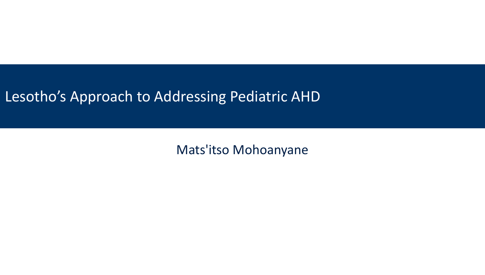#### Lesotho's Approach to Addressing Pediatric AHD

Mats'itso Mohoanyane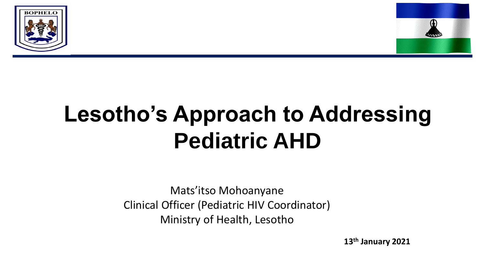



# **Lesotho's Approach to Addressing Pediatric AHD**

Mats'itso Mohoanyane Clinical Officer (Pediatric HIV Coordinator) Ministry of Health, Lesotho

**13th January 2021**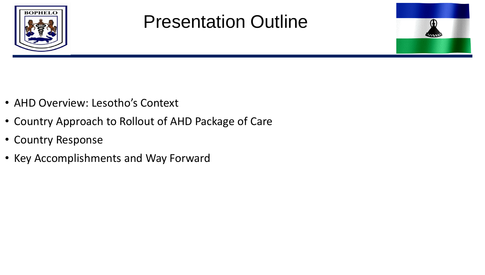

#### Presentation Outline

- AHD Overview: Lesotho's Context
- Country Approach to Rollout of AHD Package of Care
- Country Response
- Key Accomplishments and Way Forward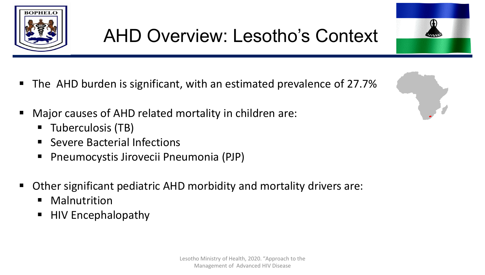



- Major causes of AHD related mortality in children are:
	- Tuberculosis (TB)
	- Severe Bacterial Infections
	- Pneumocystis Jirovecii Pneumonia (PJP)
- Other significant pediatric AHD morbidity and mortality drivers are:
	- Malnutrition
	- HIV Encephalopathy

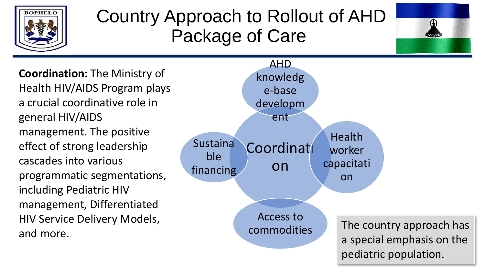

#### Country Approach to Rollout of AHD Package of Care



**Coordination:** The Ministry of Health HIV/AIDS Program plays a crucial coordinative role in general HIV/AIDS management. The positive effect of strong leadership cascades into various programmatic segmentations, including Pediatric HIV management, Differentiated HIV Service Delivery Models, and more.

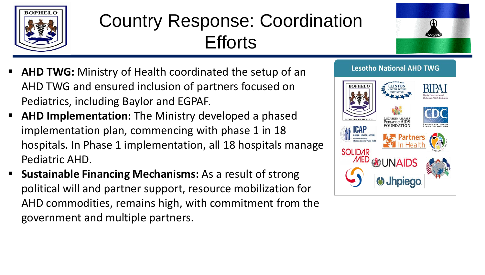

### Country Response: Coordination **Efforts**



- **EXTERF AHD TWG:** Ministry of Health coordinated the setup of an AHD TWG and ensured inclusion of partners focused on Pediatrics, including Baylor and EGPAF.
- **E** AHD Implementation: The Ministry developed a phased implementation plan, commencing with phase 1 in 18 hospitals. In Phase 1 implementation, all 18 hospitals manage Pediatric AHD.
- **E** Sustainable Financing Mechanisms: As a result of strong political will and partner support, resource mobilization for AHD commodities, remains high, with commitment from the government and multiple partners.

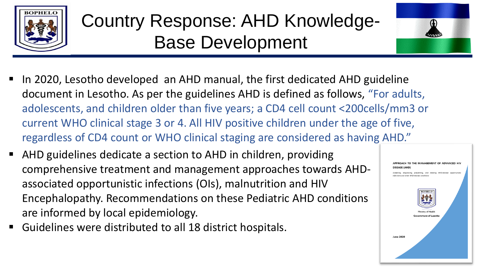

### Country Response: AHD Knowledge-Base Development



- In 2020, Lesotho developed an AHD manual, the first dedicated AHD guideline document in Lesotho. As per the guidelines AHD is defined as follows, "For adults, adolescents, and children older than five years; a CD4 cell count <200cells/mm3 or current WHO clinical stage 3 or 4. All HIV positive children under the age of five, regardless of CD4 count or WHO clinical staging are considered as having AHD."
- AHD guidelines dedicate a section to AHD in children, providing comprehensive treatment and management approaches towards AHDassociated opportunistic infections (OIs), malnutrition and HIV Encephalopathy. Recommendations on these Pediatric AHD conditions are informed by local epidemiology.
- Guidelines were distributed to all 18 district hospitals.

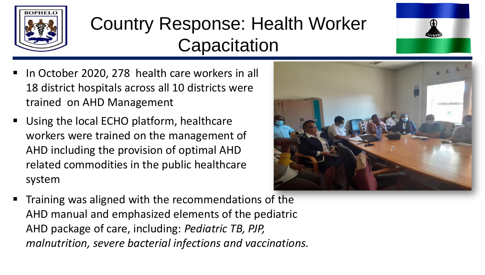

#### Country Response: Health Worker **Capacitation**

- In October 2020, 278 health care workers in all 18 district hospitals across all 10 districts were trained on AHD Management
- Using the local ECHO platform, healthcare workers were trained on the management of AHD including the provision of optimal AHD related commodities in the public healthcare system



Training was aligned with the recommendations of the AHD manual and emphasized elements of the pediatric AHD package of care, including: *Pediatric TB, PJP, malnutrition, severe bacterial infections and vaccinations.*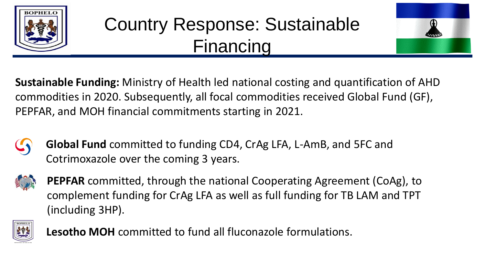

#### Country Response: Sustainable Financing



**Sustainable Funding:** Ministry of Health led national costing and quantification of AHD commodities in 2020. Subsequently, all focal commodities received Global Fund (GF), PEPFAR, and MOH financial commitments starting in 2021.



**Global Fund** committed to funding CD4, CrAg LFA, L-AmB, and 5FC and Cotrimoxazole over the coming 3 years.



**PEPFAR** committed, through the national Cooperating Agreement (CoAg), to complement funding for CrAg LFA as well as full funding for TB LAM and TPT (including 3HP).



**Lesotho MOH** committed to fund all fluconazole formulations.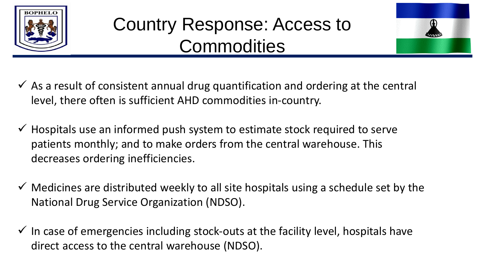

#### Country Response: Access to **Commodities**



- $\checkmark$  As a result of consistent annual drug quantification and ordering at the central level, there often is sufficient AHD commodities in-country.
- $\checkmark$  Hospitals use an informed push system to estimate stock required to serve patients monthly; and to make orders from the central warehouse. This decreases ordering inefficiencies.
- $\checkmark$  Medicines are distributed weekly to all site hospitals using a schedule set by the National Drug Service Organization (NDSO).
- $\checkmark$  In case of emergencies including stock-outs at the facility level, hospitals have direct access to the central warehouse (NDSO).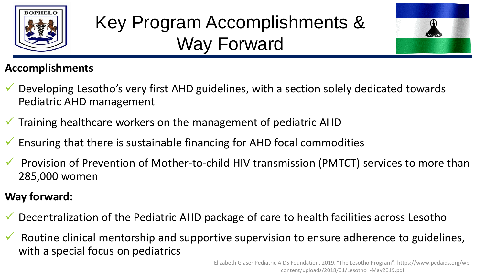

## Key Program Accomplishments & Way Forward



#### **Accomplishments**

- Developing Lesotho's very first AHD guidelines, with a section solely dedicated towards Pediatric AHD management
- $\checkmark$  Training healthcare workers on the management of pediatric AHD
- ✓ Ensuring that there is sustainable financing for AHD focal commodities
- ✓ Provision of Prevention of Mother-to-child HIV transmission (PMTCT) services to more than 285,000 women
- **Way forward:**
- Decentralization of the Pediatric AHD package of care to health facilities across Lesotho
- Routine clinical mentorship and supportive supervision to ensure adherence to guidelines, with a special focus on pediatrics